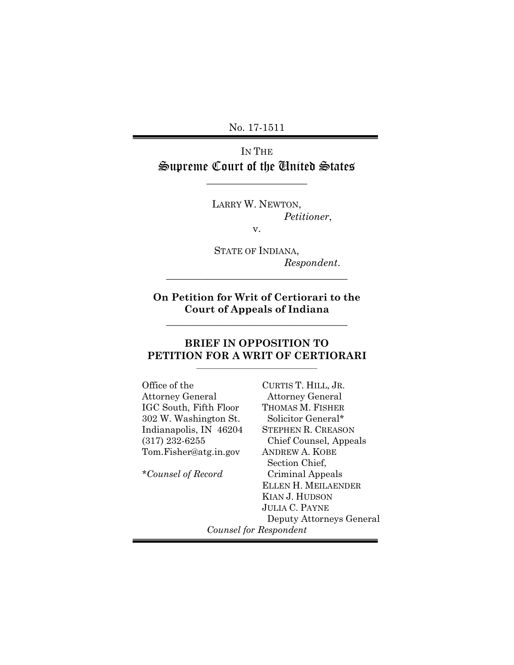No. 17-1511

IN THE Supreme Court of the United States

\_\_\_\_\_\_\_\_\_\_\_\_\_\_\_\_\_\_\_\_

LARRY W. NEWTON, *Petitioner*,

v.

STATE OF INDIANA, *Respondent*.

**On Petition for Writ of Certiorari to the Court of Appeals of Indiana**

**\_\_\_\_\_\_\_\_\_\_\_\_\_\_\_\_\_\_\_\_\_\_\_\_\_\_\_\_\_\_\_\_\_\_\_\_**

**\_\_\_\_\_\_\_\_\_\_\_\_\_\_\_\_\_\_\_\_\_\_\_\_\_\_\_\_\_\_\_\_\_\_\_\_**

## **BRIEF IN OPPOSITION TO PETITION FOR A WRIT OF CERTIORARI**

| Office of the           | CURTIS T. HILL, JR.        |
|-------------------------|----------------------------|
| <b>Attorney General</b> | <b>Attorney General</b>    |
| IGC South, Fifth Floor  | THOMAS M. FISHER           |
| 302 W. Washington St.   | Solicitor General*         |
| Indianapolis, IN 46204  | <b>STEPHEN R. CREASON</b>  |
| $(317)$ 232-6255        | Chief Counsel, Appeals     |
| Tom.Fisher@atg.in.gov   | <b>ANDREW A. KOBE</b>      |
|                         | Section Chief,             |
| *Counsel of Record      | Criminal Appeals           |
|                         | <b>ELLEN H. MEILAENDER</b> |
|                         | KIAN J. HUDSON             |
|                         | <b>JULIA C. PAYNE</b>      |
|                         | Deputy Attorneys General   |
| Counsel for Respondent  |                            |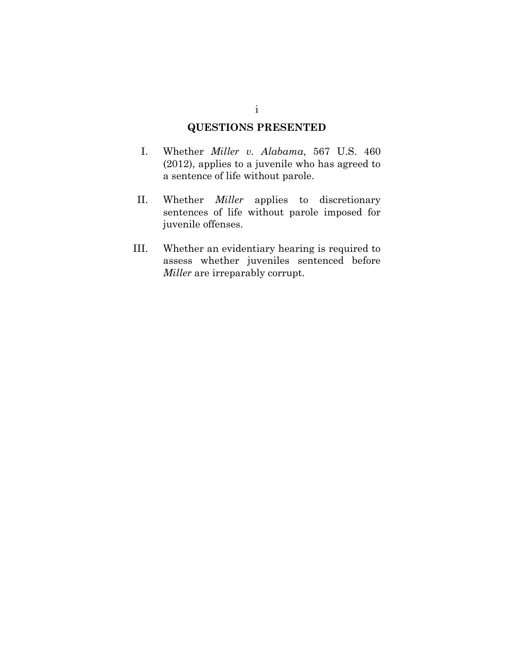## **QUESTIONS PRESENTED**

- I. Whether *Miller v. Alabama*, 567 U.S. 460 (2012), applies to a juvenile who has agreed to a sentence of life without parole.
- II. Whether *Miller* applies to discretionary sentences of life without parole imposed for juvenile offenses.
- III. Whether an evidentiary hearing is required to assess whether juveniles sentenced before *Miller* are irreparably corrupt.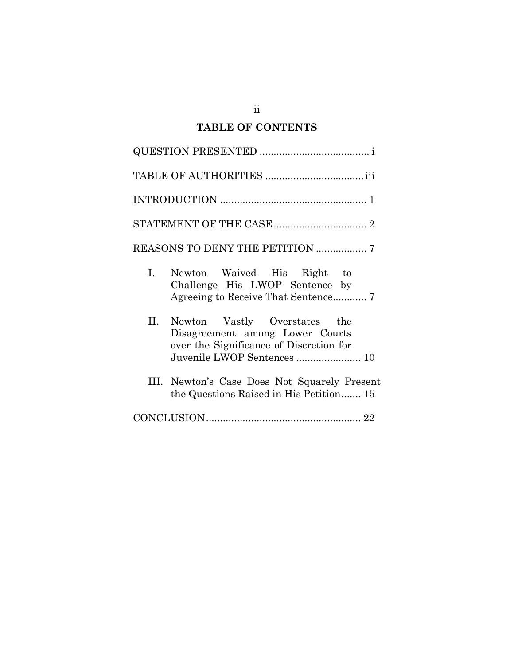# **TABLE OF CONTENTS**

|                | REASONS TO DENY THE PETITION  7                                                                                                          |
|----------------|------------------------------------------------------------------------------------------------------------------------------------------|
| $\mathbf{I}$ . | Newton Waived His Right to<br>Challenge His LWOP Sentence by                                                                             |
| II.            | Newton Vastly Overstates the<br>Disagreement among Lower Courts<br>over the Significance of Discretion for<br>Juvenile LWOP Sentences 10 |
|                | III. Newton's Case Does Not Squarely Present<br>the Questions Raised in His Petition 15                                                  |
|                |                                                                                                                                          |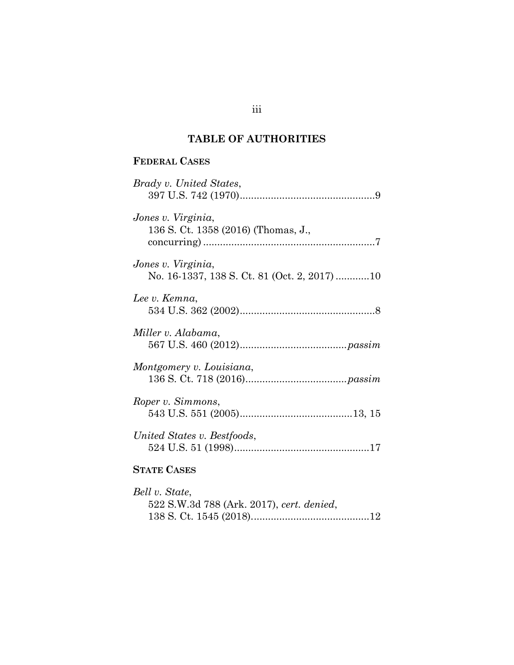# **TABLE OF AUTHORITIES**

# **FEDERAL CASES**

| Brady v. United States,                                            |
|--------------------------------------------------------------------|
| Jones v. Virginia,<br>136 S. Ct. 1358 (2016) (Thomas, J.,          |
| Jones v. Virginia,<br>No. 16-1337, 138 S. Ct. 81 (Oct. 2, 2017) 10 |
| Lee v. Kemna,                                                      |
| Miller v. Alabama,                                                 |
| Montgomery v. Louisiana,                                           |
| Roper v. Simmons,                                                  |
| United States v. Bestfoods,                                        |
| <b>STATE CASES</b>                                                 |
| Bell v. State,                                                     |

| 5eu v. State,                             |  |
|-------------------------------------------|--|
| 522 S.W.3d 788 (Ark. 2017), cert. denied, |  |
|                                           |  |

## iii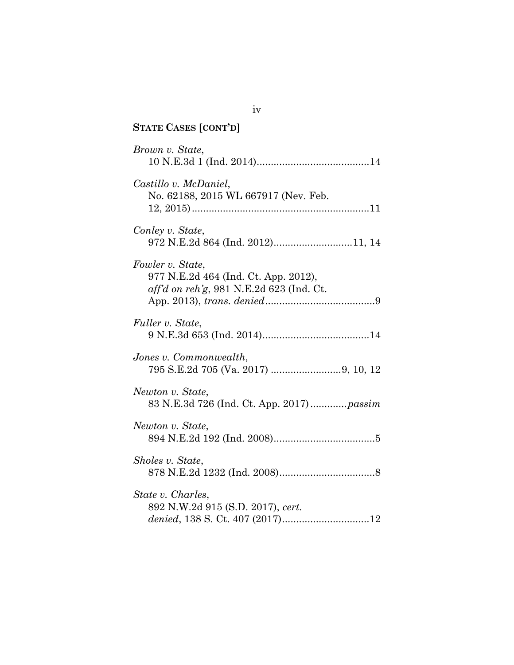| <b>STATE CASES [CONT'D]</b>                                                                            |
|--------------------------------------------------------------------------------------------------------|
| Brown v. State,                                                                                        |
| Castillo v. McDaniel,<br>No. 62188, 2015 WL 667917 (Nev. Feb.                                          |
| Conley v. State,<br>972 N.E.2d 864 (Ind. 2012)11, 14                                                   |
| Fowler v. State,<br>977 N.E.2d 464 (Ind. Ct. App. 2012),<br>$aff'd$ on reh'g, 981 N.E.2d 623 (Ind. Ct. |
| Fuller v. State,                                                                                       |
| Jones v. Commonwealth,                                                                                 |
| Newton v. State,<br>83 N.E.3d 726 (Ind. Ct. App. 2017)  passim                                         |
| Newton v. State,                                                                                       |
| Sholes v. State,                                                                                       |
| State v. Charles,<br>892 N.W.2d 915 (S.D. 2017), cert.                                                 |

iv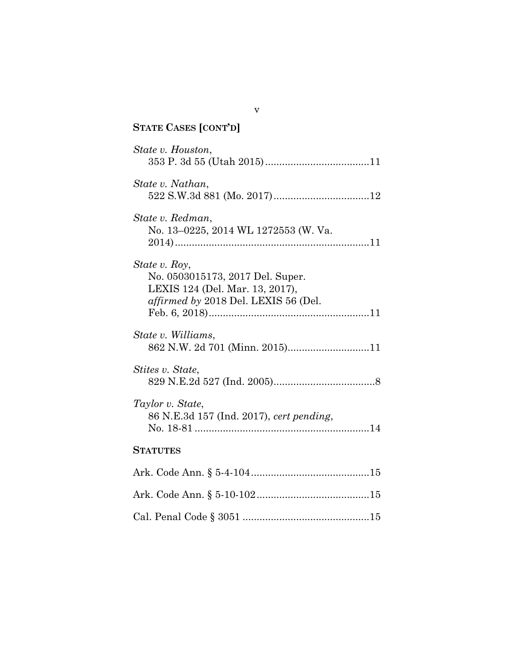| <b>STATE CASES [CONT'D]</b>                                                                                                  |
|------------------------------------------------------------------------------------------------------------------------------|
| State v. Houston,                                                                                                            |
| State v. Nathan,                                                                                                             |
| State v. Redman,<br>No. 13-0225, 2014 WL 1272553 (W. Va.                                                                     |
| State v. Roy,<br>No. 0503015173, 2017 Del. Super.<br>LEXIS 124 (Del. Mar. 13, 2017),<br>affirmed by 2018 Del. LEXIS 56 (Del. |
| State v. Williams,<br>862 N.W. 2d 701 (Minn. 2015)11                                                                         |
| Stites v. State,                                                                                                             |
| Taylor v. State,<br>86 N.E.3d 157 (Ind. 2017), cert pending,                                                                 |
| <b>STATUTES</b>                                                                                                              |
|                                                                                                                              |
|                                                                                                                              |
|                                                                                                                              |

v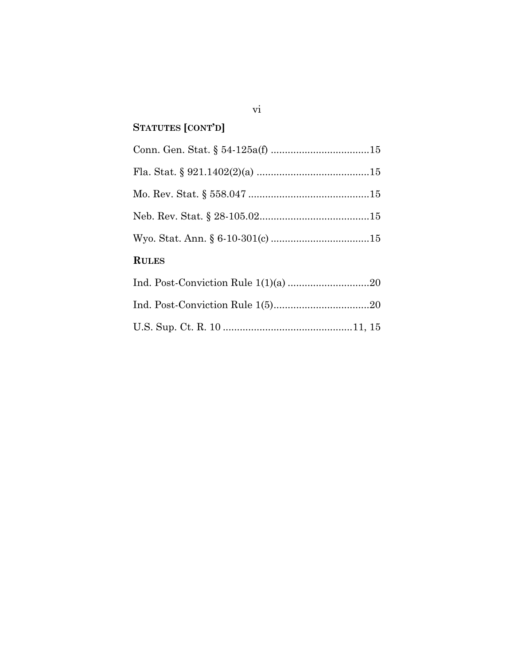# **STATUTES [CONT'D]**

| <b>RULES</b> |    |
|--------------|----|
| Ind $\int$   | റെ |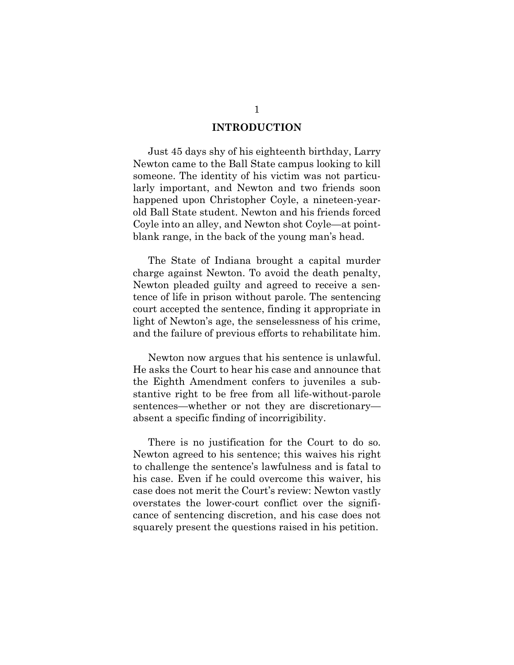#### **INTRODUCTION**

Just 45 days shy of his eighteenth birthday, Larry Newton came to the Ball State campus looking to kill someone. The identity of his victim was not particularly important, and Newton and two friends soon happened upon Christopher Coyle, a nineteen-yearold Ball State student. Newton and his friends forced Coyle into an alley, and Newton shot Coyle—at pointblank range, in the back of the young man's head.

The State of Indiana brought a capital murder charge against Newton. To avoid the death penalty, Newton pleaded guilty and agreed to receive a sentence of life in prison without parole. The sentencing court accepted the sentence, finding it appropriate in light of Newton's age, the senselessness of his crime, and the failure of previous efforts to rehabilitate him.

Newton now argues that his sentence is unlawful. He asks the Court to hear his case and announce that the Eighth Amendment confers to juveniles a substantive right to be free from all life-without-parole sentences—whether or not they are discretionary absent a specific finding of incorrigibility.

There is no justification for the Court to do so. Newton agreed to his sentence; this waives his right to challenge the sentence's lawfulness and is fatal to his case. Even if he could overcome this waiver, his case does not merit the Court's review: Newton vastly overstates the lower-court conflict over the significance of sentencing discretion, and his case does not squarely present the questions raised in his petition.

1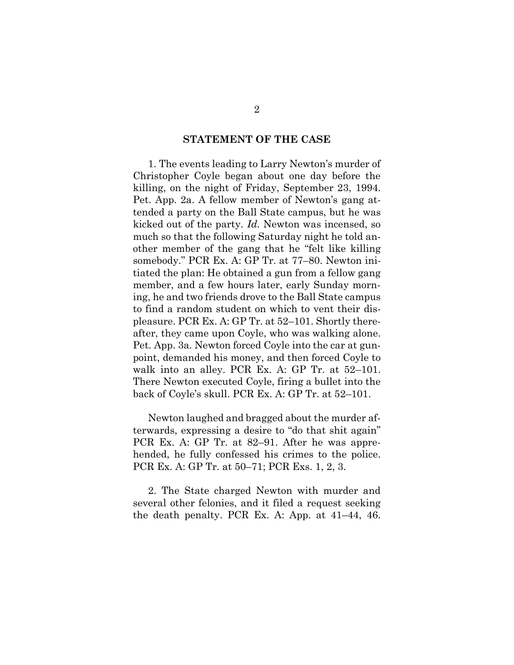#### **STATEMENT OF THE CASE**

1. The events leading to Larry Newton's murder of Christopher Coyle began about one day before the killing, on the night of Friday, September 23, 1994. Pet. App. 2a. A fellow member of Newton's gang attended a party on the Ball State campus, but he was kicked out of the party. *Id.* Newton was incensed, so much so that the following Saturday night he told another member of the gang that he "felt like killing somebody." PCR Ex. A: GP Tr. at 77–80. Newton initiated the plan: He obtained a gun from a fellow gang member, and a few hours later, early Sunday morning, he and two friends drove to the Ball State campus to find a random student on which to vent their displeasure. PCR Ex. A: GP Tr. at 52–101. Shortly thereafter, they came upon Coyle, who was walking alone. Pet. App. 3a. Newton forced Coyle into the car at gunpoint, demanded his money, and then forced Coyle to walk into an alley. PCR Ex. A: GP Tr. at 52–101. There Newton executed Coyle, firing a bullet into the back of Coyle's skull. PCR Ex. A: GP Tr. at 52–101.

Newton laughed and bragged about the murder afterwards, expressing a desire to "do that shit again" PCR Ex. A: GP Tr. at 82–91. After he was apprehended, he fully confessed his crimes to the police. PCR Ex. A: GP Tr. at 50–71; PCR Exs. 1, 2, 3.

2. The State charged Newton with murder and several other felonies, and it filed a request seeking the death penalty. PCR Ex. A: App. at 41–44, 46.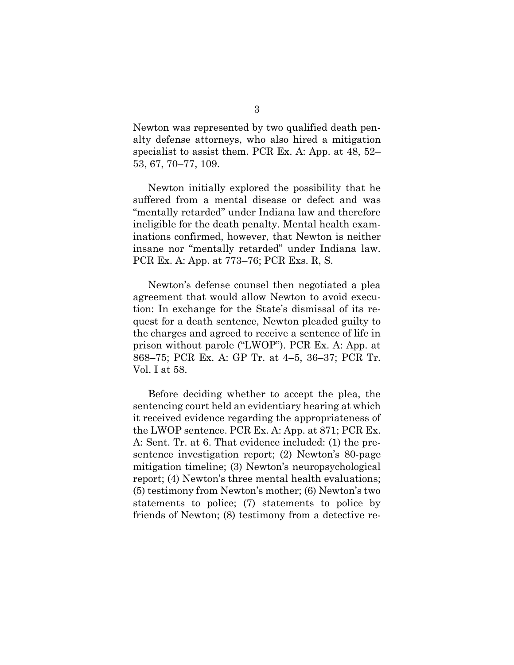Newton was represented by two qualified death penalty defense attorneys, who also hired a mitigation specialist to assist them. PCR Ex. A: App. at 48, 52– 53, 67, 70–77, 109.

Newton initially explored the possibility that he suffered from a mental disease or defect and was "mentally retarded" under Indiana law and therefore ineligible for the death penalty. Mental health examinations confirmed, however, that Newton is neither insane nor "mentally retarded" under Indiana law. PCR Ex. A: App. at 773–76; PCR Exs. R, S.

Newton's defense counsel then negotiated a plea agreement that would allow Newton to avoid execution: In exchange for the State's dismissal of its request for a death sentence, Newton pleaded guilty to the charges and agreed to receive a sentence of life in prison without parole ("LWOP"). PCR Ex. A: App. at 868–75; PCR Ex. A: GP Tr. at 4–5, 36–37; PCR Tr. Vol. I at 58.

Before deciding whether to accept the plea, the sentencing court held an evidentiary hearing at which it received evidence regarding the appropriateness of the LWOP sentence. PCR Ex. A: App. at 871; PCR Ex. A: Sent. Tr. at 6. That evidence included: (1) the presentence investigation report; (2) Newton's 80-page mitigation timeline; (3) Newton's neuropsychological report; (4) Newton's three mental health evaluations; (5) testimony from Newton's mother; (6) Newton's two statements to police; (7) statements to police by friends of Newton; (8) testimony from a detective re-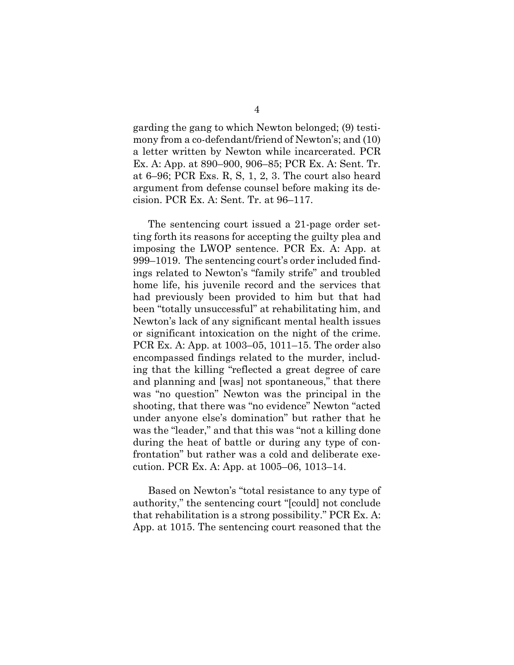garding the gang to which Newton belonged; (9) testimony from a co-defendant/friend of Newton's; and (10) a letter written by Newton while incarcerated. PCR Ex. A: App. at 890–900, 906–85; PCR Ex. A: Sent. Tr. at 6–96; PCR Exs. R, S, 1, 2, 3. The court also heard argument from defense counsel before making its decision. PCR Ex. A: Sent. Tr. at 96–117.

The sentencing court issued a 21-page order setting forth its reasons for accepting the guilty plea and imposing the LWOP sentence. PCR Ex. A: App. at 999–1019. The sentencing court's order included findings related to Newton's "family strife" and troubled home life, his juvenile record and the services that had previously been provided to him but that had been "totally unsuccessful" at rehabilitating him, and Newton's lack of any significant mental health issues or significant intoxication on the night of the crime. PCR Ex. A: App. at 1003–05, 1011–15. The order also encompassed findings related to the murder, including that the killing "reflected a great degree of care and planning and [was] not spontaneous," that there was "no question" Newton was the principal in the shooting, that there was "no evidence" Newton "acted under anyone else's domination" but rather that he was the "leader," and that this was "not a killing done during the heat of battle or during any type of confrontation" but rather was a cold and deliberate execution. PCR Ex. A: App. at 1005–06, 1013–14.

Based on Newton's "total resistance to any type of authority," the sentencing court "[could] not conclude that rehabilitation is a strong possibility." PCR Ex. A: App. at 1015. The sentencing court reasoned that the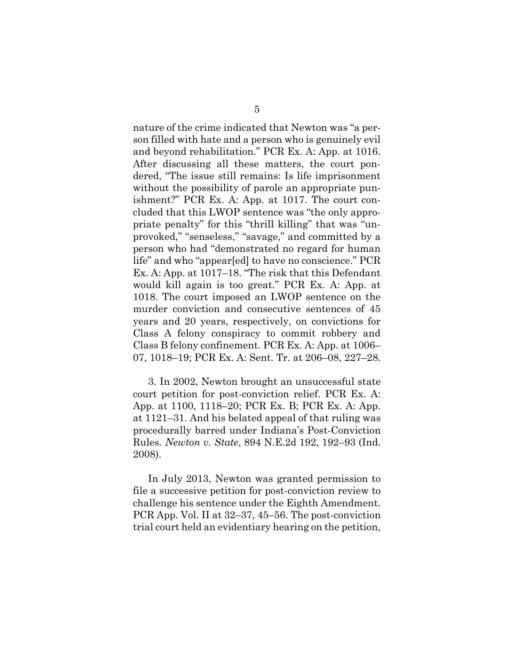nature of the crime indicated that Newton was "a person filled with hate and a person who is genuinely evil and beyond rehabilitation." PCR Ex. A: App. at 1016. After discussing all these matters, the court pondered, "The issue still remains: Is life imprisonment without the possibility of parole an appropriate punishment?" PCR Ex. A: App. at 1017. The court concluded that this LWOP sentence was "the only appropriate penalty" for this "thrill killing" that was "unprovoked," "senseless," "savage," and committed by a person who had "demonstrated no regard for human life" and who "appear[ed] to have no conscience." PCR Ex. A: App. at 1017–18. "The risk that this Defendant would kill again is too great." PCR Ex. A: App. at 1018. The court imposed an LWOP sentence on the murder conviction and consecutive sentences of 45 years and 20 years, respectively, on convictions for Class A felony conspiracy to commit robbery and Class B felony confinement. PCR Ex. A: App. at 1006– 07, 1018–19; PCR Ex. A: Sent. Tr. at 206–08, 227–28.

3. In 2002, Newton brought an unsuccessful state court petition for post-conviction relief. PCR Ex. A: App. at 1100, 1118–20; PCR Ex. B; PCR Ex. A: App. at 1121–31. And his belated appeal of that ruling was procedurally barred under Indiana's Post-Conviction Rules. *Newton v. State*, 894 N.E.2d 192, 192–93 (Ind. 2008).

<span id="page-11-0"></span>In July 2013, Newton was granted permission to file a successive petition for post-conviction review to challenge his sentence under the Eighth Amendment. PCR App. Vol. II at 32–37, 45–56. The post-conviction trial court held an evidentiary hearing on the petition,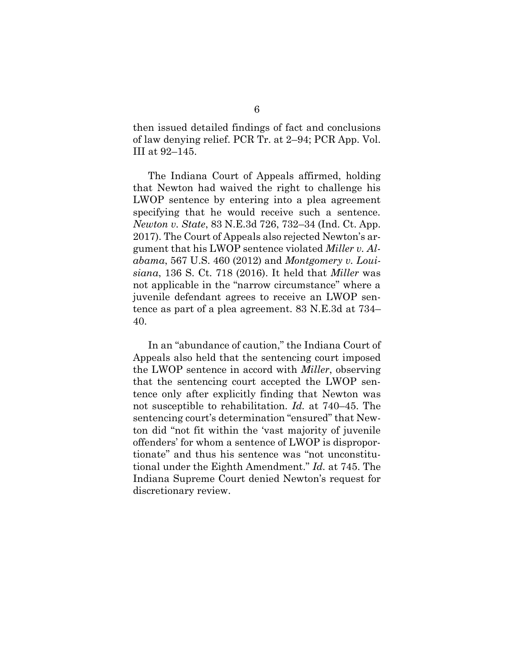then issued detailed findings of fact and conclusions of law denying relief. PCR Tr. at 2–94; PCR App. Vol. III at 92–145.

<span id="page-12-2"></span><span id="page-12-1"></span><span id="page-12-0"></span>The Indiana Court of Appeals affirmed, holding that Newton had waived the right to challenge his LWOP sentence by entering into a plea agreement specifying that he would receive such a sentence. *Newton v. State*, 83 N.E.3d 726, 732–34 (Ind. Ct. App. 2017). The Court of Appeals also rejected Newton's argument that his LWOP sentence violated *Miller v. Alabama*, 567 U.S. 460 (2012) and *Montgomery v. Louisiana*, 136 S. Ct. 718 (2016). It held that *Miller* was not applicable in the "narrow circumstance" where a juvenile defendant agrees to receive an LWOP sentence as part of a plea agreement. 83 N.E.3d at 734– 40.

In an "abundance of caution," the Indiana Court of Appeals also held that the sentencing court imposed the LWOP sentence in accord with *Miller*, observing that the sentencing court accepted the LWOP sentence only after explicitly finding that Newton was not susceptible to rehabilitation. *Id.* at 740–45. The sentencing court's determination "ensured" that Newton did "not fit within the 'vast majority of juvenile offenders' for whom a sentence of LWOP is disproportionate" and thus his sentence was "not unconstitutional under the Eighth Amendment." *Id.* at 745. The Indiana Supreme Court denied Newton's request for discretionary review.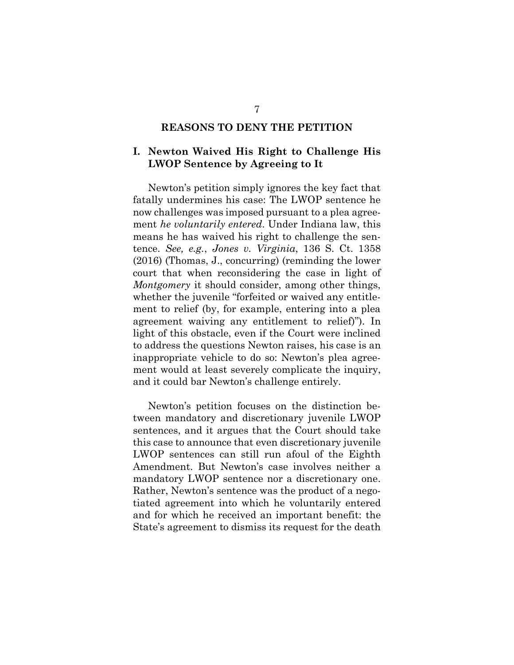#### **REASONS TO DENY THE PETITION**

## **I. Newton Waived His Right to Challenge His LWOP Sentence by Agreeing to It**

<span id="page-13-0"></span>Newton's petition simply ignores the key fact that fatally undermines his case: The LWOP sentence he now challenges was imposed pursuant to a plea agreement *he voluntarily entered*. Under Indiana law, this means he has waived his right to challenge the sentence. *See, e.g.*, *Jones v. Virginia*, 136 S. Ct. 1358 (2016) (Thomas, J., concurring) (reminding the lower court that when reconsidering the case in light of *Montgomery* it should consider, among other things, whether the juvenile "forfeited or waived any entitlement to relief (by, for example, entering into a plea agreement waiving any entitlement to relief)"). In light of this obstacle, even if the Court were inclined to address the questions Newton raises, his case is an inappropriate vehicle to do so: Newton's plea agreement would at least severely complicate the inquiry, and it could bar Newton's challenge entirely.

Newton's petition focuses on the distinction between mandatory and discretionary juvenile LWOP sentences, and it argues that the Court should take this case to announce that even discretionary juvenile LWOP sentences can still run afoul of the Eighth Amendment. But Newton's case involves neither a mandatory LWOP sentence nor a discretionary one. Rather, Newton's sentence was the product of a negotiated agreement into which he voluntarily entered and for which he received an important benefit: the State's agreement to dismiss its request for the death

7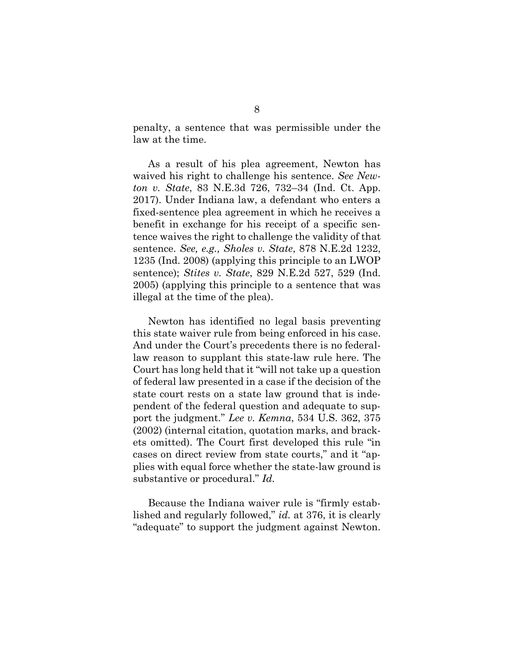penalty, a sentence that was permissible under the law at the time.

As a result of his plea agreement, Newton has waived his right to challenge his sentence. *See Newton v. State*, 83 N.E.3d 726, 732–34 (Ind. Ct. App. 2017). Under Indiana law, a defendant who enters a fixed-sentence plea agreement in which he receives a benefit in exchange for his receipt of a specific sentence waives the right to challenge the validity of that sentence. *See, e.g., Sholes v. State*, 878 N.E.2d 1232, 1235 (Ind. 2008) (applying this principle to an LWOP sentence); *Stites v. State*, 829 N.E.2d 527, 529 (Ind. 2005) (applying this principle to a sentence that was illegal at the time of the plea).

<span id="page-14-2"></span><span id="page-14-1"></span>Newton has identified no legal basis preventing this state waiver rule from being enforced in his case. And under the Court's precedents there is no federallaw reason to supplant this state-law rule here. The Court has long held that it "will not take up a question of federal law presented in a case if the decision of the state court rests on a state law ground that is independent of the federal question and adequate to support the judgment." *Lee v. Kemna*, 534 U.S. 362, 375 (2002) (internal citation, quotation marks, and brackets omitted). The Court first developed this rule "in cases on direct review from state courts," and it "applies with equal force whether the state-law ground is substantive or procedural." *Id.*

<span id="page-14-0"></span>Because the Indiana waiver rule is "firmly established and regularly followed," *id.* at 376, it is clearly "adequate" to support the judgment against Newton.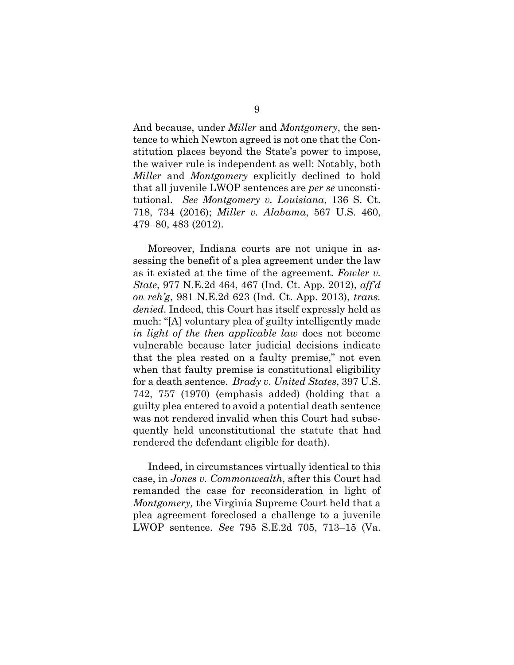And because, under *Miller* and *Montgomery*, the sentence to which Newton agreed is not one that the Constitution places beyond the State's power to impose, the waiver rule is independent as well: Notably, both *Miller* and *Montgomery* explicitly declined to hold that all juvenile LWOP sentences are *per se* unconstitutional. *See Montgomery v. Louisiana*, 136 S. Ct. 718, 734 (2016); *Miller v. Alabama*, 567 U.S. 460, 479–80, 483 (2012).

<span id="page-15-1"></span>Moreover, Indiana courts are not unique in assessing the benefit of a plea agreement under the law as it existed at the time of the agreement. *Fowler v. State*, 977 N.E.2d 464, 467 (Ind. Ct. App. 2012), *aff'd on reh'g*, 981 N.E.2d 623 (Ind. Ct. App. 2013), *trans. denied*. Indeed, this Court has itself expressly held as much: "[A] voluntary plea of guilty intelligently made *in light of the then applicable law* does not become vulnerable because later judicial decisions indicate that the plea rested on a faulty premise," not even when that faulty premise is constitutional eligibility for a death sentence. *Brady v. United States*, 397 U.S. 742, 757 (1970) (emphasis added) (holding that a guilty plea entered to avoid a potential death sentence was not rendered invalid when this Court had subsequently held unconstitutional the statute that had rendered the defendant eligible for death).

<span id="page-15-2"></span><span id="page-15-0"></span>Indeed, in circumstances virtually identical to this case, in *Jones v. Commonwealth*, after this Court had remanded the case for reconsideration in light of *Montgomery,* the Virginia Supreme Court held that a plea agreement foreclosed a challenge to a juvenile LWOP sentence. *See* 795 S.E.2d 705, 713–15 (Va.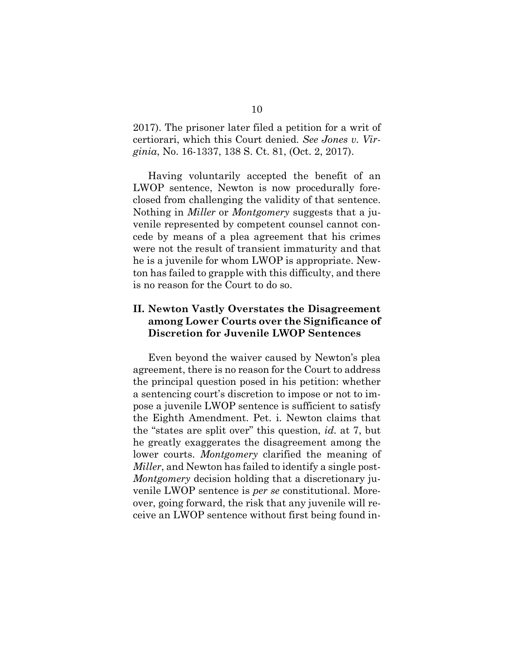<span id="page-16-0"></span>2017). The prisoner later filed a petition for a writ of certiorari, which this Court denied. *See Jones v. Virginia*, No. 16-1337, 138 S. Ct. 81, (Oct. 2, 2017).

Having voluntarily accepted the benefit of an LWOP sentence, Newton is now procedurally foreclosed from challenging the validity of that sentence. Nothing in *Miller* or *Montgomery* suggests that a juvenile represented by competent counsel cannot concede by means of a plea agreement that his crimes were not the result of transient immaturity and that he is a juvenile for whom LWOP is appropriate. Newton has failed to grapple with this difficulty, and there is no reason for the Court to do so.

## **II. Newton Vastly Overstates the Disagreement among Lower Courts over the Significance of Discretion for Juvenile LWOP Sentences**

Even beyond the waiver caused by Newton's plea agreement, there is no reason for the Court to address the principal question posed in his petition: whether a sentencing court's discretion to impose or not to impose a juvenile LWOP sentence is sufficient to satisfy the Eighth Amendment. Pet. i. Newton claims that the "states are split over" this question, *id.* at 7, but he greatly exaggerates the disagreement among the lower courts. *Montgomery* clarified the meaning of *Miller*, and Newton has failed to identify a single post-*Montgomery* decision holding that a discretionary juvenile LWOP sentence is *per se* constitutional. Moreover, going forward, the risk that any juvenile will receive an LWOP sentence without first being found in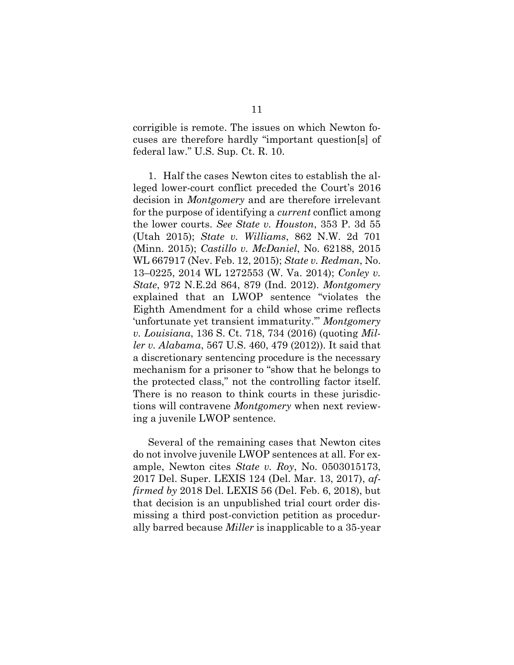<span id="page-17-6"></span>corrigible is remote. The issues on which Newton focuses are therefore hardly "important question[s] of federal law." U.S. Sup. Ct. R. 10.

<span id="page-17-5"></span><span id="page-17-3"></span><span id="page-17-2"></span><span id="page-17-1"></span><span id="page-17-0"></span>1. Half the cases Newton cites to establish the alleged lower-court conflict preceded the Court's 2016 decision in *Montgomery* and are therefore irrelevant for the purpose of identifying a *current* conflict among the lower courts. *See State v. Houston*, 353 P. 3d 55 (Utah 2015); *State v. Williams*, 862 N.W. 2d 701 (Minn. 2015); *Castillo v. McDaniel*, No. 62188, 2015 WL 667917 (Nev. Feb. 12, 2015); *State v. Redman*, No. 13–0225, 2014 WL 1272553 (W. Va. 2014); *Conley v. State*, 972 N.E.2d 864, 879 (Ind. 2012). *Montgomery*  explained that an LWOP sentence "violates the Eighth Amendment for a child whose crime reflects 'unfortunate yet transient immaturity.'" *Montgomery v. Louisiana*, 136 S. Ct. 718, 734 (2016) (quoting *Miller v. Alabama*, 567 U.S. 460, 479 (2012)). It said that a discretionary sentencing procedure is the necessary mechanism for a prisoner to "show that he belongs to the protected class," not the controlling factor itself. There is no reason to think courts in these jurisdictions will contravene *Montgomery* when next reviewing a juvenile LWOP sentence.

<span id="page-17-4"></span>Several of the remaining cases that Newton cites do not involve juvenile LWOP sentences at all. For example, Newton cites *State v. Roy*, No. 0503015173, 2017 Del. Super. LEXIS 124 (Del. Mar. 13, 2017), *affirmed by* 2018 Del. LEXIS 56 (Del. Feb. 6, 2018), but that decision is an unpublished trial court order dismissing a third post-conviction petition as procedurally barred because *Miller* is inapplicable to a 35-year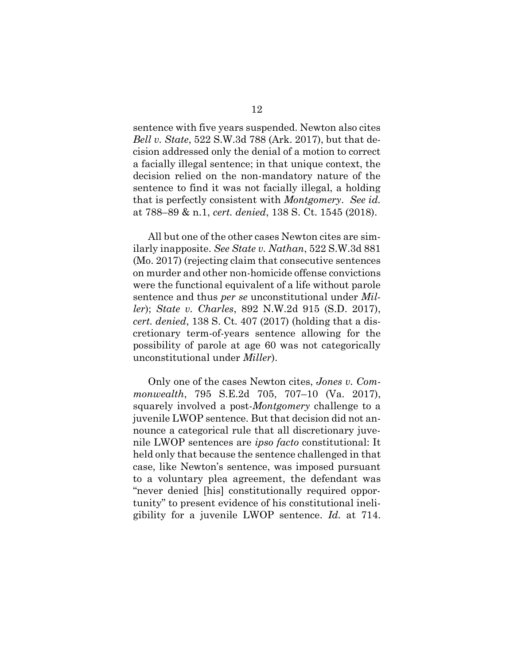<span id="page-18-0"></span>sentence with five years suspended. Newton also cites *Bell v. State*, 522 S.W.3d 788 (Ark. 2017), but that decision addressed only the denial of a motion to correct a facially illegal sentence; in that unique context, the decision relied on the non-mandatory nature of the sentence to find it was not facially illegal, a holding that is perfectly consistent with *Montgomery*. *See id.*  at 788–89 & n.1, *cert. denied*, 138 S. Ct. 1545 (2018).

<span id="page-18-3"></span><span id="page-18-2"></span>All but one of the other cases Newton cites are similarly inapposite. *See State v. Nathan*, 522 S.W.3d 881 (Mo. 2017) (rejecting claim that consecutive sentences on murder and other non-homicide offense convictions were the functional equivalent of a life without parole sentence and thus *per se* unconstitutional under *Miller*); *State v. Charles*, 892 N.W.2d 915 (S.D. 2017), *cert. denied*, 138 S. Ct. 407 (2017) (holding that a discretionary term-of-years sentence allowing for the possibility of parole at age 60 was not categorically unconstitutional under *Miller*).

<span id="page-18-1"></span>Only one of the cases Newton cites, *Jones v. Commonwealth*, 795 S.E.2d 705, 707–10 (Va. 2017), squarely involved a post-*Montgomery* challenge to a juvenile LWOP sentence. But that decision did not announce a categorical rule that all discretionary juvenile LWOP sentences are *ipso facto* constitutional: It held only that because the sentence challenged in that case, like Newton's sentence, was imposed pursuant to a voluntary plea agreement, the defendant was "never denied [his] constitutionally required opportunity" to present evidence of his constitutional ineligibility for a juvenile LWOP sentence. *Id.* at 714.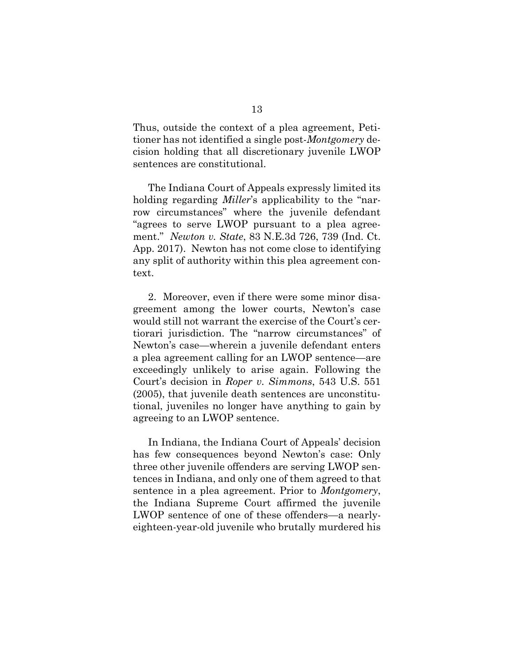Thus, outside the context of a plea agreement, Petitioner has not identified a single post-*Montgomery* decision holding that all discretionary juvenile LWOP sentences are constitutional.

The Indiana Court of Appeals expressly limited its holding regarding *Miller*'s applicability to the "narrow circumstances" where the juvenile defendant "agrees to serve LWOP pursuant to a plea agreement." *Newton v. State*, 83 N.E.3d 726, 739 (Ind. Ct. App. 2017). Newton has not come close to identifying any split of authority within this plea agreement context.

2. Moreover, even if there were some minor disagreement among the lower courts, Newton's case would still not warrant the exercise of the Court's certiorari jurisdiction. The "narrow circumstances" of Newton's case—wherein a juvenile defendant enters a plea agreement calling for an LWOP sentence—are exceedingly unlikely to arise again. Following the Court's decision in *Roper v. Simmons*, 543 U.S. 551 (2005), that juvenile death sentences are unconstitutional, juveniles no longer have anything to gain by agreeing to an LWOP sentence.

<span id="page-19-0"></span>In Indiana, the Indiana Court of Appeals' decision has few consequences beyond Newton's case: Only three other juvenile offenders are serving LWOP sentences in Indiana, and only one of them agreed to that sentence in a plea agreement. Prior to *Montgomery*, the Indiana Supreme Court affirmed the juvenile LWOP sentence of one of these offenders—a nearlyeighteen-year-old juvenile who brutally murdered his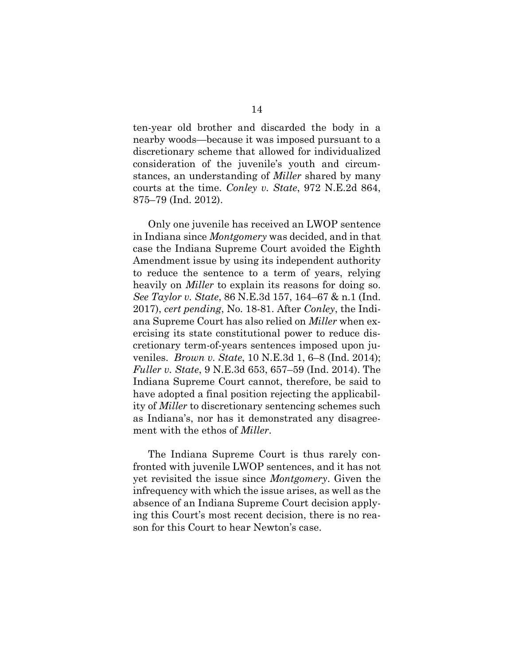ten-year old brother and discarded the body in a nearby woods—because it was imposed pursuant to a discretionary scheme that allowed for individualized consideration of the juvenile's youth and circumstances, an understanding of *Miller* shared by many courts at the time. *Conley v. State*, 972 N.E.2d 864, 875–79 (Ind. 2012).

<span id="page-20-3"></span><span id="page-20-1"></span>Only one juvenile has received an LWOP sentence in Indiana since *Montgomery* was decided, and in that case the Indiana Supreme Court avoided the Eighth Amendment issue by using its independent authority to reduce the sentence to a term of years, relying heavily on *Miller* to explain its reasons for doing so. *See Taylor v. State*, 86 N.E.3d 157, 164–67 & n.1 (Ind. 2017), *cert pending*, No. 18-81. After *Conley*, the Indiana Supreme Court has also relied on *Miller* when exercising its state constitutional power to reduce discretionary term-of-years sentences imposed upon juveniles. *Brown v. State*, 10 N.E.3d 1, 6–8 (Ind. 2014); *Fuller v. State*, 9 N.E.3d 653, 657–59 (Ind. 2014). The Indiana Supreme Court cannot, therefore, be said to have adopted a final position rejecting the applicability of *Miller* to discretionary sentencing schemes such as Indiana's, nor has it demonstrated any disagreement with the ethos of *Miller*.

<span id="page-20-2"></span><span id="page-20-0"></span>The Indiana Supreme Court is thus rarely confronted with juvenile LWOP sentences, and it has not yet revisited the issue since *Montgomery*. Given the infrequency with which the issue arises, as well as the absence of an Indiana Supreme Court decision applying this Court's most recent decision, there is no reason for this Court to hear Newton's case.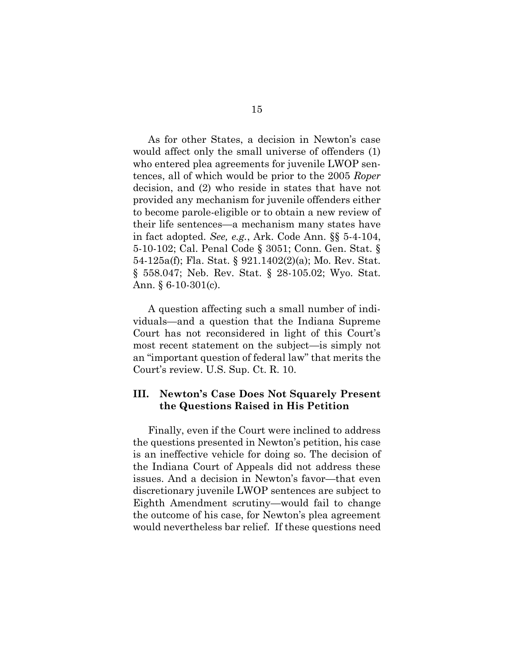<span id="page-21-0"></span>As for other States, a decision in Newton's case would affect only the small universe of offenders (1) who entered plea agreements for juvenile LWOP sentences, all of which would be prior to the 2005 *Roper* decision, and (2) who reside in states that have not provided any mechanism for juvenile offenders either to become parole-eligible or to obtain a new review of their life sentences—a mechanism many states have in fact adopted. *See, e.g.*, Ark. Code Ann. §§ 5-4-104, 5-10-102; Cal. Penal Code § 3051; Conn. Gen. Stat. § 54-125a(f); Fla. Stat. § 921.1402(2)(a); Mo. Rev. Stat. § 558.047; Neb. Rev. Stat. § 28-105.02; Wyo. Stat. Ann.  $§ 6-10-301(c)$ .

<span id="page-21-7"></span><span id="page-21-6"></span><span id="page-21-5"></span><span id="page-21-4"></span><span id="page-21-3"></span><span id="page-21-2"></span><span id="page-21-1"></span>A question affecting such a small number of individuals—and a question that the Indiana Supreme Court has not reconsidered in light of this Court's most recent statement on the subject—is simply not an "important question of federal law" that merits the Court's review. U.S. Sup. Ct. R. 10.

## <span id="page-21-8"></span>**III. Newton's Case Does Not Squarely Present the Questions Raised in His Petition**

Finally, even if the Court were inclined to address the questions presented in Newton's petition, his case is an ineffective vehicle for doing so. The decision of the Indiana Court of Appeals did not address these issues. And a decision in Newton's favor—that even discretionary juvenile LWOP sentences are subject to Eighth Amendment scrutiny—would fail to change the outcome of his case, for Newton's plea agreement would nevertheless bar relief. If these questions need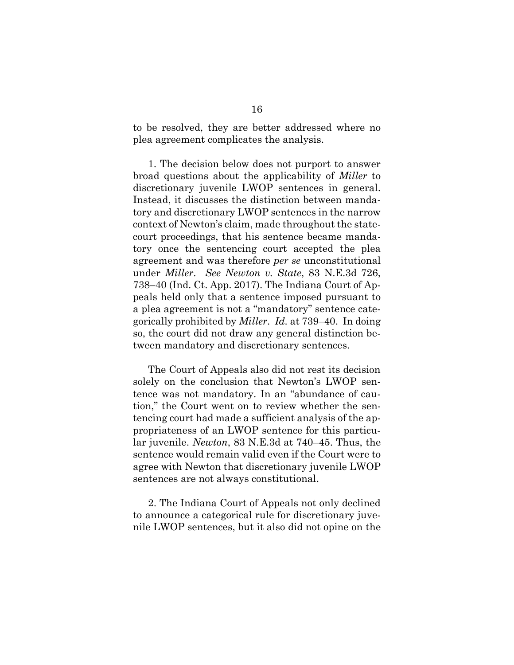to be resolved, they are better addressed where no plea agreement complicates the analysis.

1. The decision below does not purport to answer broad questions about the applicability of *Miller* to discretionary juvenile LWOP sentences in general. Instead, it discusses the distinction between mandatory and discretionary LWOP sentences in the narrow context of Newton's claim, made throughout the statecourt proceedings, that his sentence became mandatory once the sentencing court accepted the plea agreement and was therefore *per se* unconstitutional under *Miller*. *See Newton v. State*, 83 N.E.3d 726, 738–40 (Ind. Ct. App. 2017). The Indiana Court of Appeals held only that a sentence imposed pursuant to a plea agreement is not a "mandatory" sentence categorically prohibited by *Miller*. *Id.* at 739–40. In doing so, the court did not draw any general distinction between mandatory and discretionary sentences.

The Court of Appeals also did not rest its decision solely on the conclusion that Newton's LWOP sentence was not mandatory. In an "abundance of caution," the Court went on to review whether the sentencing court had made a sufficient analysis of the appropriateness of an LWOP sentence for this particular juvenile. *Newton*, 83 N.E.3d at 740–45. Thus, the sentence would remain valid even if the Court were to agree with Newton that discretionary juvenile LWOP sentences are not always constitutional.

2. The Indiana Court of Appeals not only declined to announce a categorical rule for discretionary juvenile LWOP sentences, but it also did not opine on the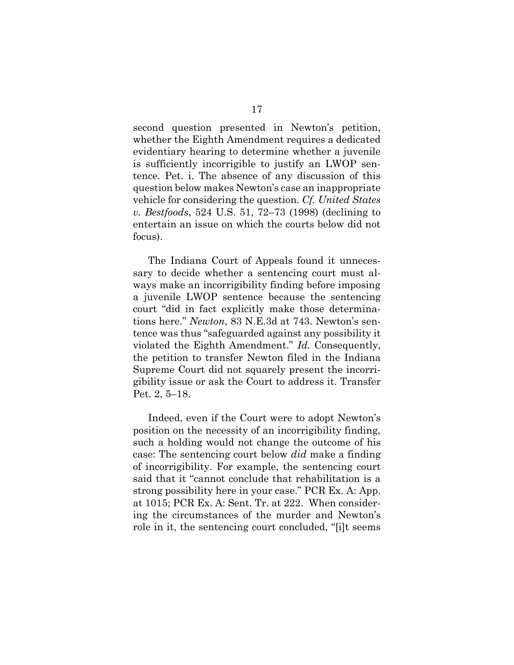second question presented in Newton's petition, whether the Eighth Amendment requires a dedicated evidentiary hearing to determine whether a juvenile is sufficiently incorrigible to justify an LWOP sentence. Pet. i. The absence of any discussion of this question below makes Newton's case an inappropriate vehicle for considering the question. *Cf. United States v. Bestfoods*, 524 U.S. 51, 72–73 (1998) (declining to entertain an issue on which the courts below did not focus).

<span id="page-23-0"></span>The Indiana Court of Appeals found it unnecessary to decide whether a sentencing court must always make an incorrigibility finding before imposing a juvenile LWOP sentence because the sentencing court "did in fact explicitly make those determinations here." *Newton*, 83 N.E.3d at 743. Newton's sentence was thus "safeguarded against any possibility it violated the Eighth Amendment." *Id.* Consequently, the petition to transfer Newton filed in the Indiana Supreme Court did not squarely present the incorrigibility issue or ask the Court to address it. Transfer Pet. 2, 5–18.

Indeed, even if the Court were to adopt Newton's position on the necessity of an incorrigibility finding, such a holding would not change the outcome of his case: The sentencing court below *did* make a finding of incorrigibility. For example, the sentencing court said that it "cannot conclude that rehabilitation is a strong possibility here in your case." PCR Ex. A: App. at 1015; PCR Ex. A: Sent. Tr. at 222. When considering the circumstances of the murder and Newton's role in it, the sentencing court concluded, "[i]t seems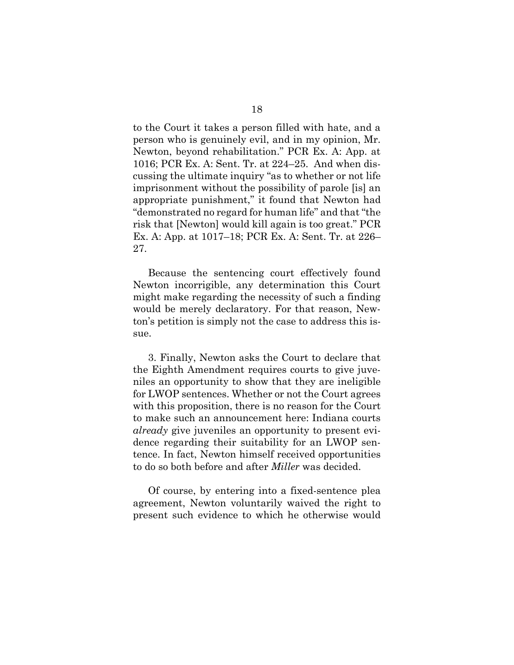to the Court it takes a person filled with hate, and a person who is genuinely evil, and in my opinion, Mr. Newton, beyond rehabilitation." PCR Ex. A: App. at 1016; PCR Ex. A: Sent. Tr. at 224–25. And when discussing the ultimate inquiry "as to whether or not life imprisonment without the possibility of parole [is] an appropriate punishment," it found that Newton had "demonstrated no regard for human life" and that "the risk that [Newton] would kill again is too great." PCR Ex. A: App. at 1017–18; PCR Ex. A: Sent. Tr. at 226– 27.

Because the sentencing court effectively found Newton incorrigible, any determination this Court might make regarding the necessity of such a finding would be merely declaratory. For that reason, Newton's petition is simply not the case to address this issue.

3. Finally, Newton asks the Court to declare that the Eighth Amendment requires courts to give juveniles an opportunity to show that they are ineligible for LWOP sentences. Whether or not the Court agrees with this proposition, there is no reason for the Court to make such an announcement here: Indiana courts *already* give juveniles an opportunity to present evidence regarding their suitability for an LWOP sentence. In fact, Newton himself received opportunities to do so both before and after *Miller* was decided.

Of course, by entering into a fixed-sentence plea agreement, Newton voluntarily waived the right to present such evidence to which he otherwise would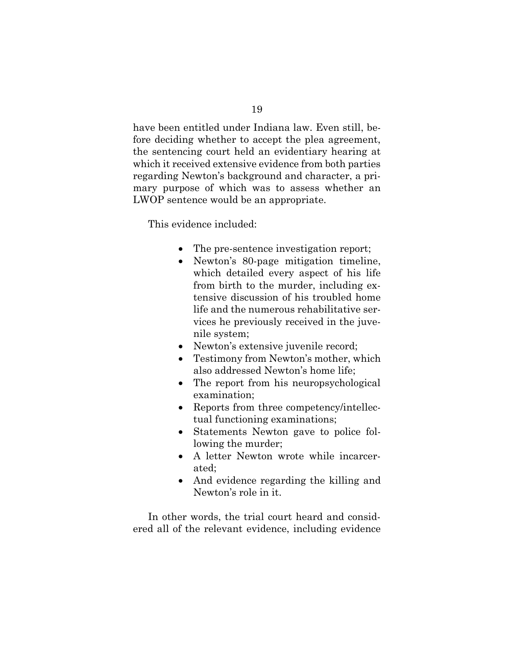have been entitled under Indiana law. Even still, before deciding whether to accept the plea agreement, the sentencing court held an evidentiary hearing at which it received extensive evidence from both parties regarding Newton's background and character, a primary purpose of which was to assess whether an LWOP sentence would be an appropriate.

This evidence included:

- The pre-sentence investigation report;
- Newton's 80-page mitigation timeline, which detailed every aspect of his life from birth to the murder, including extensive discussion of his troubled home life and the numerous rehabilitative services he previously received in the juvenile system;
- Newton's extensive juvenile record;
- Testimony from Newton's mother, which also addressed Newton's home life;
- The report from his neuropsychological examination;
- Reports from three competency/intellectual functioning examinations;
- Statements Newton gave to police following the murder;
- A letter Newton wrote while incarcerated;
- And evidence regarding the killing and Newton's role in it.

In other words, the trial court heard and considered all of the relevant evidence, including evidence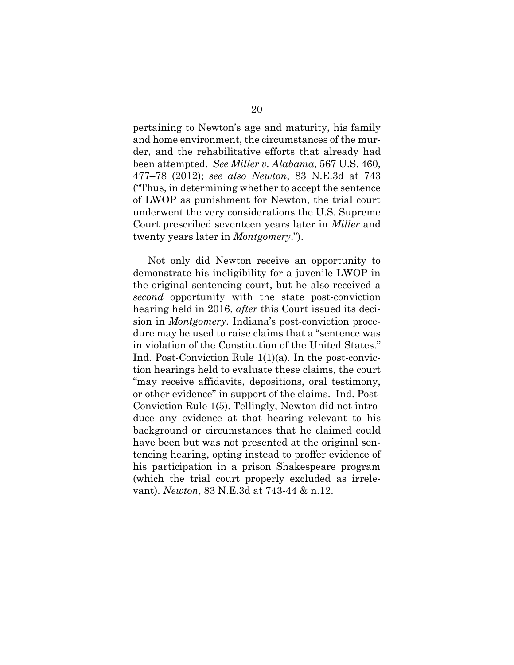pertaining to Newton's age and maturity, his family and home environment, the circumstances of the murder, and the rehabilitative efforts that already had been attempted. *See Miller v. Alabama*, 567 U.S. 460, 477–78 (2012); *see also Newton*, 83 N.E.3d at 743 ("Thus, in determining whether to accept the sentence of LWOP as punishment for Newton, the trial court underwent the very considerations the U.S. Supreme Court prescribed seventeen years later in *Miller* and twenty years later in *Montgomery*.").

<span id="page-26-1"></span><span id="page-26-0"></span>Not only did Newton receive an opportunity to demonstrate his ineligibility for a juvenile LWOP in the original sentencing court, but he also received a *second* opportunity with the state post-conviction hearing held in 2016, *after* this Court issued its decision in *Montgomery*. Indiana's post-conviction procedure may be used to raise claims that a "sentence was in violation of the Constitution of the United States." Ind. Post-Conviction Rule 1(1)(a). In the post-conviction hearings held to evaluate these claims, the court "may receive affidavits, depositions, oral testimony, or other evidence" in support of the claims. Ind. Post-Conviction Rule 1(5). Tellingly, Newton did not introduce any evidence at that hearing relevant to his background or circumstances that he claimed could have been but was not presented at the original sentencing hearing, opting instead to proffer evidence of his participation in a prison Shakespeare program (which the trial court properly excluded as irrelevant). *Newton*, 83 N.E.3d at 743-44 & n.12.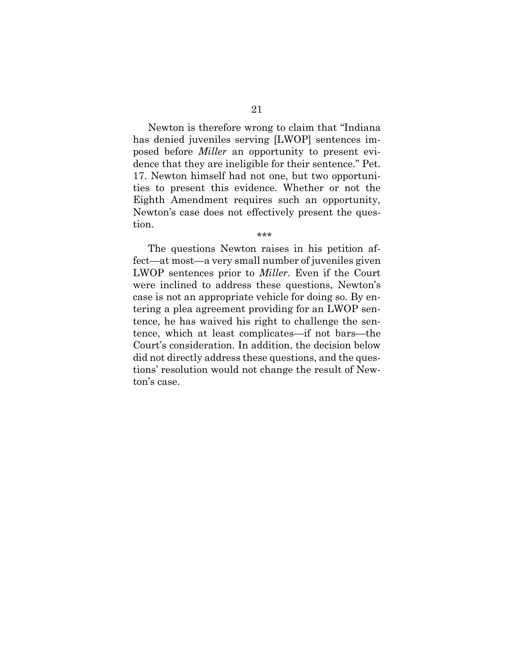Newton is therefore wrong to claim that "Indiana has denied juveniles serving [LWOP] sentences imposed before *Miller* an opportunity to present evidence that they are ineligible for their sentence." Pet. 17. Newton himself had not one, but two opportunities to present this evidence. Whether or not the Eighth Amendment requires such an opportunity, Newton's case does not effectively present the question.

\*\*\*

The questions Newton raises in his petition affect—at most—a very small number of juveniles given LWOP sentences prior to *Miller*. Even if the Court were inclined to address these questions, Newton's case is not an appropriate vehicle for doing so. By entering a plea agreement providing for an LWOP sentence, he has waived his right to challenge the sentence, which at least complicates—if not bars—the Court's consideration. In addition, the decision below did not directly address these questions, and the questions' resolution would not change the result of Newton's case.